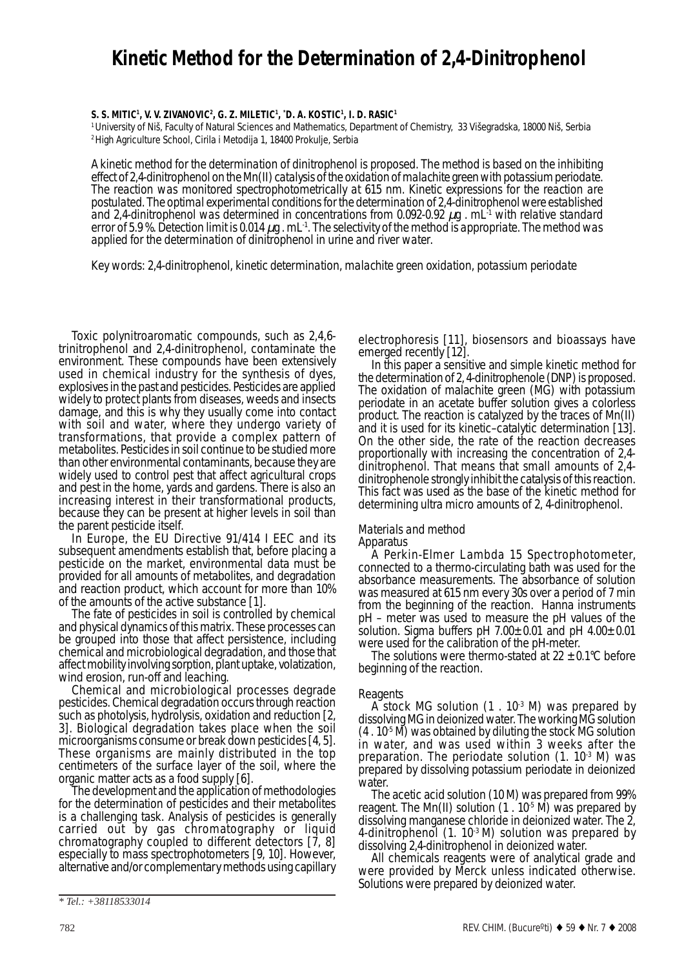# **Kinetic Method for the Determination of 2,4-Dinitrophenol**

## **S. S. MITIC1 , V. V. ZIVANOVIC2 , G. Z. MILETIC1 , \* D. A. KOSTIC1 , I. D. RASIC1**

1 University of Niš, Faculty of Natural Sciences and Mathematics, Department of Chemistry, 33 Višegradska, 18000 Niš, Serbia 2 High Agriculture School, Cirila i Metodija 1, 18400 Prokulje, Serbia

*A kinetic method for the determination of dinitrophenol is proposed. The method is based on the inhibiting effect of 2,4-dinitrophenol on the Mn(II) catalysis of the oxidation of malachite green with potassium periodate. The reaction was monitored spectrophotometrically at 615 nm. Kinetic expressions for the reaction are postulated. The optimal experimental conditions for the determination of 2,4-dinitrophenol were established* and 2,4-dinitrophenol was determined in concentrations from 0.092-0.92 µg . mL<sup>1</sup> with relative standard *error of 5.9 %. Detection limit is 0.014* µ*g . mL-1. The selectivity of the method is appropriate. The method was applied for the determination of dinitrophenol in urine and river water.*

*Key words: 2,4-dinitrophenol, kinetic determination, malachite green oxidation, potassium periodate*

Toxic polynitroaromatic compounds, such as 2,4,6 trinitrophenol and 2,4-dinitrophenol, contaminate the environment. These compounds have been extensively used in chemical industry for the synthesis of dyes, explosives in the past and pesticides. Pesticides are applied widely to protect plants from diseases, weeds and insects damage, and this is why they usually come into contact with soil and water, where they undergo variety of transformations, that provide a complex pattern of metabolites. Pesticides in soil continue to be studied more than other environmental contaminants, because they are widely used to control pest that affect agricultural crops and pest in the home, yards and gardens. There is also an increasing interest in their transformational products, because they can be present at higher levels in soil than the parent pesticide itself.

In Europe, the EU Directive 91/414 I EEC and its subsequent amendments establish that, before placing a pesticide on the market, environmental data must be provided for all amounts of metabolites, and degradation and reaction product, which account for more than 10%

of the amounts of the active substance [1].<br>The fate of pesticides in soil is controlled by chemical and physical dynamics of this matrix. These processes can be grouped into those that affect persistence, including chemical and microbiological degradation, and those that affect mobility involving sorption, plant uptake, volatization, wind erosion, run-off and leaching.

Chemical and microbiological processes degrade pesticides. Chemical degradation occurs through reaction such as photolysis, hydrolysis, oxidation and reduction [2, 3]. Biological degradation takes place when the soil microorganisms consume or break down pesticides [4, 5]. These organisms are mainly distributed in the top centimeters of the surface layer of the soil, where the organic matter acts as a food supply [6].

The development and the application of methodologies for the determination of pesticides and their metabolites is a challenging task. Analysis of pesticides is generally carried out by gas chromatography or liquid chromatography coupled to different detectors [7, 8] especially to mass spectrophotometers [9, 10]. However, alternative and/or complementary methods using capillary

electrophoresis [11], biosensors and bioassays have emerged recently [12].

In this paper a sensitive and simple kinetic method for the determination of 2, 4-dinitrophenole (DNP) is proposed. The oxidation of malachite green (MG) with potassium periodate in an acetate buffer solution gives a colorless product. The reaction is catalyzed by the traces of Mn(II) and it is used for its kinetic–catalytic determination [13]. On the other side, the rate of the reaction decreases proportionally with increasing the concentration of 2,4 dinitrophenol. That means that small amounts of 2,4 dinitrophenole strongly inhibit the catalysis of this reaction. This fact was used as the base of the kinetic method for determining ultra micro amounts of 2, 4-dinitrophenol.

# *Materials and method*

Apparatus

A Perkin-Elmer Lambda 15 Spectrophotometer, connected to a thermo-circulating bath was used for the absorbance measurements. The absorbance of solution was measured at 615 nm every 30s over a period of 7 min from the beginning of the reaction. Hanna instruments pH – meter was used to measure the *p*H values of the solution. Sigma buffers *p*H 7.00±0.01 and *p*H 4.00±0.01 were used for the calibration of the pH-meter.

The solutions were thermo-stated at  $22 \pm 0.1^{\circ}$ C before beginning of the reaction.

Reagents<br>A stock MG solution  $(1 \cdot 10^3 \text{ M})$  was prepared by dissolving MG in deionized water. The working MG solution  $(4.10<sup>5</sup> M)$  was obtained by diluting the stock MG solution in water, and was used within 3 weeks after the preparation. The periodate solution  $(1. 10<sup>3</sup> M)$  was prepared by dissolving potassium periodate in deionized water.

The acetic acid solution (10 M) was prepared from 99% reagent. The Mn(II) solution  $(1 \cdot 10^{-5} \text{ M})$  was prepared by dissolving manganese chloride in deionized water. The 2, 4-dinitrophenol  $(1. 10<sup>3</sup> M)$  solution was prepared by dissolving 2,4-dinitrophenol in deionized water.

All chemicals reagents were of analytical grade and were provided by Merck unless indicated otherwise. Solutions were prepared by deionized water.

*<sup>\*</sup> Tel.: +38118533014*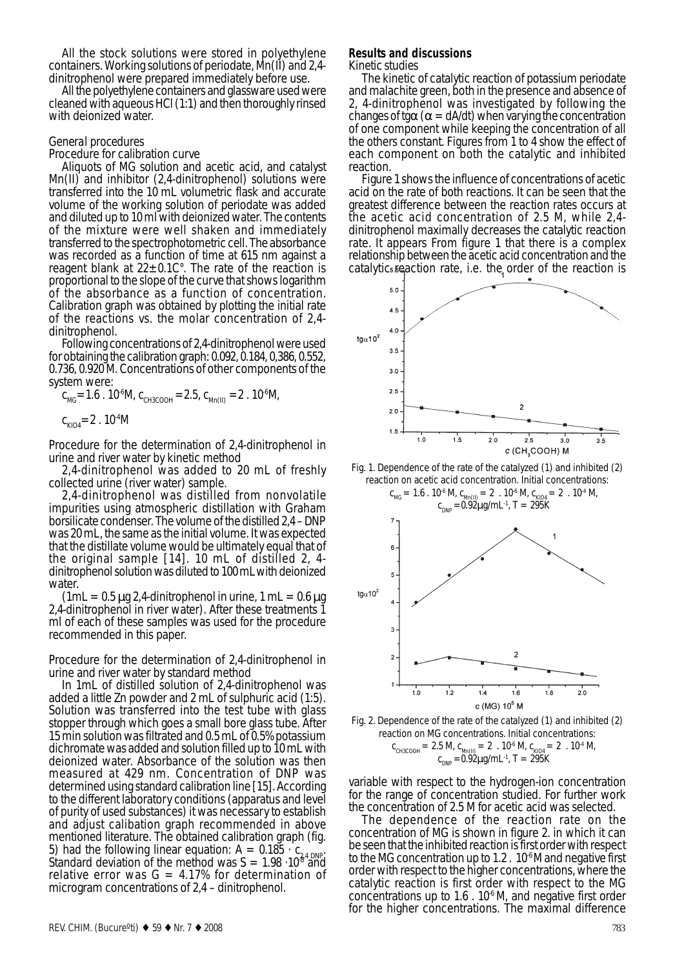All the stock solutions were stored in polyethylene containers. Working solutions of periodate, Mn(II) and 2,4-

dinitrophenol were prepared immediately before use. cleaned with aqueous HCl (1:1) and then thoroughly rinsed with deionized water.

# *General procedures*

Procedure for calibration curve

Aliquots of MG solution and acetic acid, and catalyst Mn(II) and inhibitor (2,4-dinitrophenol) solutions were transferred into the 10 mL volumetric flask and accurate volume of the working solution of periodate was added and diluted up to 10 ml with deionized water. The contents of the mixture were well shaken and immediately transferred to the spectrophotometric cell. The absorbance was recorded as a function of time at 615 nm against a reagent blank at  $22 \pm 0.1$ C°. The rate of the reaction is proportional to the slope of the curve that shows logarithm of the absorbance as a function of concentration. Calibration graph was obtained by plotting the initial rate of the reactions vs. the molar concentration of 2,4 dinitrophenol.

Following concentrations of 2,4-dinitrophenol were used for obtaining the calibration graph: 0.092, 0.184, 0,386, 0.552, 0.736, 0.920 M. Concentrations of other components of the system were:

 $c_{MG} = 1.6$ . 10<sup>6</sup>M,  $c_{CH3COOH} = 2.5$ ,  $c_{Mn(II)} = 2$ . 10<sup>6</sup>M,

 $c_{KIO4} = 2$ . 10<sup>4</sup>M

Procedure for the determination of 2,4-dinitrophenol in urine and river water by kinetic method

2,4-dinitrophenol was added to 20 mL of freshly collected urine (river water) sample.

2,4-dinitrophenol was distilled from nonvolatile impurities using atmospheric distillation with Graham borsilicate condenser. The volume of the distilled 2,4 – DNP was 20 mL, the same as the initial volume. It was expected that the distillate volume would be ultimately equal that of the original sample [14]. 10 mL of distilled 2, 4 dinitrophenol solution was diluted to 100 mLwith deionized water.

 $(1mL = 0.5 \mu g 2.4$ -dinitrophenol in urine,  $1 mL = 0.6 \mu g$ 2,4-dinitrophenol in river water). After these treatments 1 ml of each of these samples was used for the procedure recommended in this paper.

Procedure for the determination of 2,4-dinitrophenol in urine and river water by standard method

In 1mL of distilled solution of 2,4-dinitrophenol was added a little Zn powder and 2 mL of sulphuric acid (1:5). Solution was transferred into the test tube with glass stopper through which goes a small bore glass tube. After 15 min solution was filtrated and 0.5 mL of 0.5% potassium dichromate was added and solution filled up to 10 mL with deionized water. Absorbance of the solution was then measured at 429 nm. Concentration of DNP was determined using standard calibration line [15]. According to the different laboratory conditions (apparatus and level of purity of used substances) it was necessary to establish and adjust calibation graph recommended in above mentioned literature. The obtained calibration graph (fig. 5) had the following linear equation:  $A = 0.185 \cdot C_{24 \text{ DNP}}$ Standard deviation of the method was  $S = 1.98 \cdot 10^{87}$  and relative error was  $G = 4.17\%$  for determination of microgram concentrations of 2,4 – dinitrophenol.

# **Results and discussions**

*Kinetic studies*

The kinetic of catalytic reaction of potassium periodate and malachite green, both in the presence and absence of 2, 4-dinitrophenol was investigated by following the changes of tg $\alpha$  ( $\alpha$  = dA/dt) when varying the concentration of one component while keeping the concentration of all the others constant. Figures from 1 to 4 show the effect of each component on both the catalytic and inhibited reaction.

Figure 1 shows the influence of concentrations of acetic acid on the rate of both reactions. It can be seen that the greatest difference between the reaction rates occurs at the acetic acid concentration of 2.5 M, while 2,4 dinitrophenol maximally decreases the catalytic reaction rate. It appears From figure 1 that there is a complex relationship between the acetic acid concentration and the catalytic reaction rate, i.e. the order of the reaction is



Fig. 1. Dependence of the rate of the catalyzed (1) and inhibited (2) reaction on acetic acid concentration. Initial concentrations:



Fig. 2. Dependence of the rate of the catalyzed (1) and inhibited (2) reaction on MG concentrations. Initial concentrations:  $c_{CH3COOH} = 2.5$  M,  $c_{Mn(II)} = 2$  .  $10^{-6}$  M,  $c_{KIO4} = 2$  .  $10^{-4}$  M,  $c_{\text{DNP}} = 0.92 \mu\text{g/mL}^1$ , T = 295K

variable with respect to the hydrogen-ion concentration for the range of concentration studied. For further work the concentration of 2.5 M for acetic acid was selected.

The dependence of the reaction rate on the concentration of MG is shown in figure 2. in which it can be seen that the inhibited reaction is first order with respect to the MG concentration up to  $1.2$ .  $10<sup>6</sup>$  M and negative first order with respect to the higher concentrations, where the catalytic reaction is first order with respect to the MG concentrations up to  $1.6$  .  $10^{4}$  M, and negative first order for the higher concentrations. The maximal difference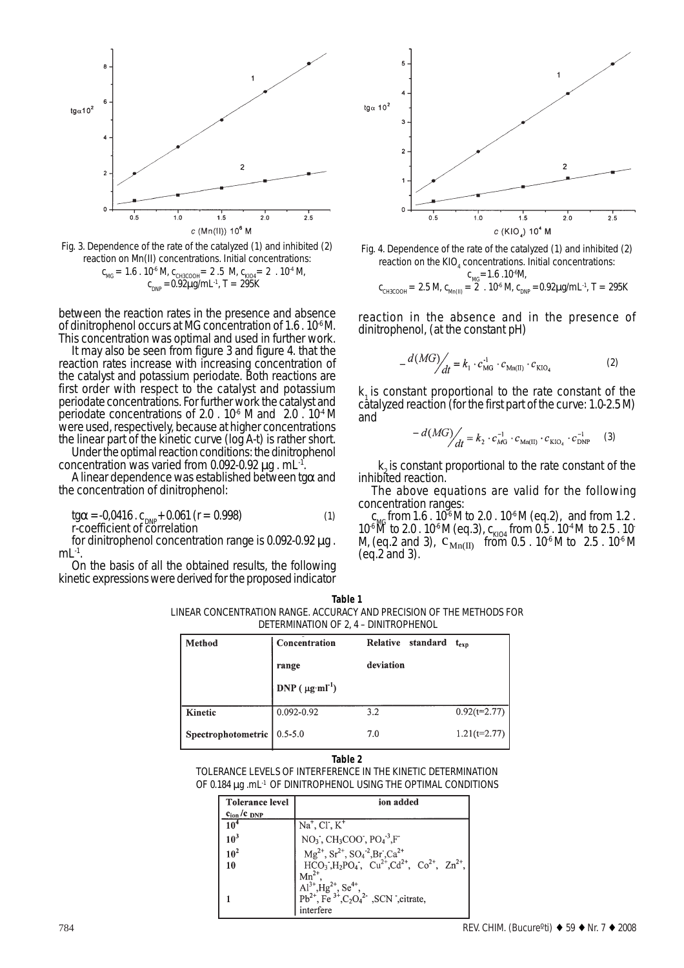

Fig. 3. Dependence of the rate of the catalyzed (1) and inhibited (2) reaction on Mn(II) concentrations. Initial concentrations:  $c_{MG} = 1.6$ .  $10^{-6}$  M,  $c_{CH3COOH} = 2.5$  M,  $c_{KIO4} = 2.10^{-4}$  M,  $c_{\text{DNP}} = 0.92 \mu g/mL^{-1}$ , T = 295K

between the reaction rates in the presence and absence of dinitrophenol occurs at MG concentration of 1.6 . 10-6 M. This concentration was optimal and used in further work.

It may also be seen from figure 3 and figure 4. that the reaction rates increase with increasing concentration of the catalyst and potassium periodate. Both reactions are first order with respect to the catalyst and potassium periodate concentrations. For further work the catalyst and periodate concentrations of 2.0 .  $10^{-6}$  M and 2.0 .  $10^{-4}$  M were used, respectively, because at higher concentrations the linear part of the kinetic curve (log A-t) is rather short.

Under the optimal reaction conditions: the dinitrophenol concentration was varied from 0.092-0.92  $\mu$ g. mL<sup>-1</sup>.<br>A linear dependence was established between tg $\alpha$  and

the concentration of dinitrophenol:

tg $\alpha = 0.0416$ . c<sub>DNP</sub>+0.061 (r = 0.998) (1) r-coefficient of correlation

for dinitrophenol concentration range is 0.092-0.92 µg .  $mL<sup>-1</sup>$ .<br>On the basis of all the obtained results, the following

kinetic expressions were derived for the proposed indicator





reaction in the absence and in the presence of dinitrophenol, (at the constant *p*H)

$$
\frac{d(MG)}{dt} = k_1 \cdot c_{\text{MG}}^{A} \cdot c_{\text{Mn(II)}} \cdot c_{\text{KIO}_4}
$$
 (2)

 $k<sub>1</sub>$  is constant proportional to the rate constant of the catalyzed reaction (for the first part of the curve: 1.0-2.5 M) and

$$
-d(MG)/\!\!\! /_{dt} = k_2 \cdot c_{M\!G}^{-1} \cdot c_{Mn(II)} \cdot c_{KIO_4} \cdot c_{\text{DNP}}^{-1} \qquad (3)
$$

 $k<sub>o</sub>$  is constant proportional to the rate constant of the inhibited reaction.

The above equations are valid for the following concentration ranges:

 $c_{\text{MC}}$  from 1.6 . 10<sup>-6</sup> M to 2.0 . 10<sup>-6</sup> M (eq.2), and from 1.2.  $10^{-6}$  M to 2.0 .  $10^{-6}$  M (eq.3),  $c_{KIO4}$  from 0.5 .  $10^{-4}$  M to 2.5 .  $10^{-4}$ M, (eq.2 and 3),  $C_{Mn(II)}^{N104}$  from 0.5 . 10<sup>-6</sup> M to 2.5 . 10<sup>-6</sup> M (eq.2 and 3).

**Table 1** LINEAR CONCENTRATION RANGE. ACCURACY AND PRECISION OF THE METHODS FOR DETERMINATION OF 2, 4 – DINITROPHENOL

| Method                       | Concentration             | Relative standard t <sub>exp</sub> |                |
|------------------------------|---------------------------|------------------------------------|----------------|
|                              | range                     | deviation                          |                |
|                              | DNP $(\mu g \cdot m l^1)$ |                                    |                |
| <b>Kinetic</b>               | 0.092-0.92                | 3.2                                | $0.92(t=2.77)$ |
| Spectrophotometric   0.5-5.0 |                           | 7.0                                | $1.21(t=2.77)$ |

### **Table 2**

TOLERANCE LEVELS OF INTERFERENCE IN THE KINETIC DETERMINATION OF 0.184 µg .mL<sup>-1</sup> OF DINITROPHENOL USING THE OPTIMAL CONDITIONS

| <b>Tolerance level</b>             | ion added                                                                                                                                                                                                                                                                                                                                     |  |  |
|------------------------------------|-----------------------------------------------------------------------------------------------------------------------------------------------------------------------------------------------------------------------------------------------------------------------------------------------------------------------------------------------|--|--|
| c <sub>ion</sub> /c <sub>DNP</sub> |                                                                                                                                                                                                                                                                                                                                               |  |  |
| 10 <sup>4</sup>                    | $\overline{Na}^+$ , Cl <sup>t</sup> , K <sup>+</sup>                                                                                                                                                                                                                                                                                          |  |  |
| 10 <sup>3</sup>                    | NO <sub>3</sub> , CH <sub>3</sub> COO', PO <sub>4</sub> <sup>-3</sup> ,F <sup>-</sup><br>Mg <sup>2+</sup> , Sr <sup>2+</sup> , SO <sub>4</sub> <sup>-2</sup> ,Br <sup>2</sup> ,Ca <sup>2+</sup><br>HCO <sub>3</sub> ,H <sub>2</sub> PO <sub>4</sub> <sup>-</sup> , Cu <sup>2+</sup> ,Cd <sup>2+</sup> , Co <sup>2+</sup> , Zn <sup>2+</sup> , |  |  |
| 10 <sup>2</sup>                    |                                                                                                                                                                                                                                                                                                                                               |  |  |
| 10                                 |                                                                                                                                                                                                                                                                                                                                               |  |  |
|                                    |                                                                                                                                                                                                                                                                                                                                               |  |  |
|                                    |                                                                                                                                                                                                                                                                                                                                               |  |  |
|                                    | Al <sup>3+</sup> , Hg <sup>2+</sup> , Se <sup>4+</sup> ,<br>Pb <sup>2+</sup> , Fe <sup>3+</sup> , C <sub>2</sub> O <sub>4</sub> <sup>2</sup> , SCN , citrate,                                                                                                                                                                                 |  |  |
|                                    | interfere                                                                                                                                                                                                                                                                                                                                     |  |  |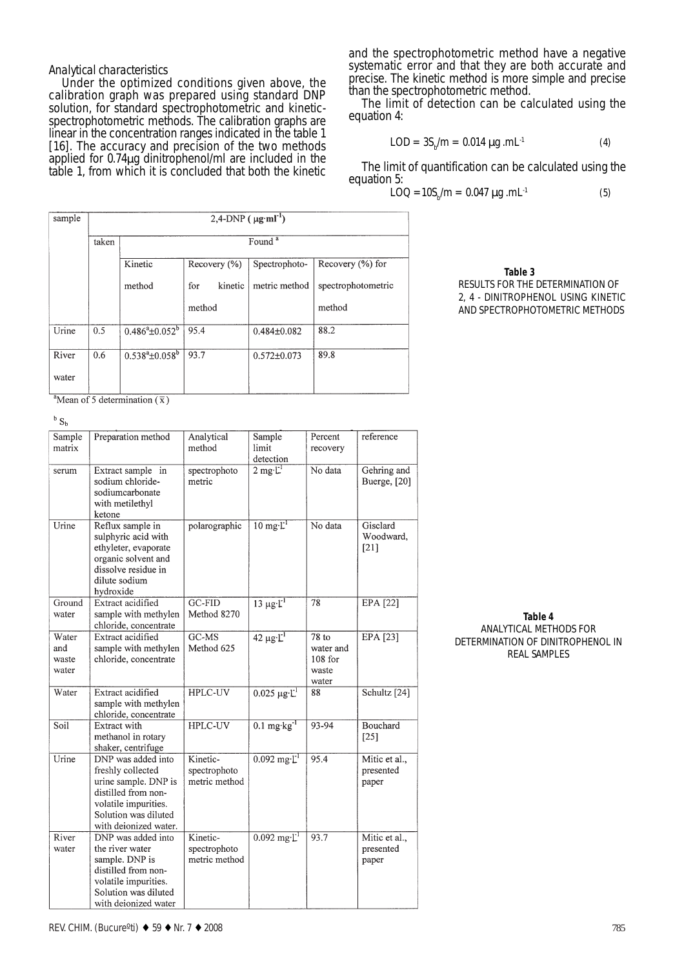*Analytical characteristics* Under the optimized conditions given above, the calibration graph was prepared using standard DNP solution, for standard spectrophotometric and kineticspectrophotometric methods. The calibration graphs are linear in the concentration ranges indicated in the table 1 [16]. The accuracy and precision of the two methods applied for 0.74µg dinitrophenol/ml are included in the table 1, from which it is concluded that both the kinetic

and the spectrophotometric method have a negative systematic error and that they are both accurate and precise. The kinetic method is more simple and precise than the spectrophotometric method.

The limit of detection can be calculated using the equation 4:

$$
LOD = 3S_b/m = 0.014 \,\mu g \,.mL^{-1}
$$
 (4)

The limit of quantification can be calculated using the equation 5:

$$
LOQ = 10S_{b}/m = 0.047 \,\mu g \,.mL^{-1}
$$
 (5)

| sample | $2,4-DNP$ ( $\mu$ g·ml <sup>-1</sup> ) |                       |                  |                   |                      |
|--------|----------------------------------------|-----------------------|------------------|-------------------|----------------------|
|        | taken                                  | Found <sup>a</sup>    |                  |                   |                      |
|        |                                        | Kinetic               | Recovery $(\% )$ | Spectrophoto-     | Recovery $(\% )$ for |
|        |                                        | method                | kinetic<br>for   | metric method     | spectrophotometric   |
|        |                                        |                       | method           |                   | method               |
| Urine  | 0.5                                    | $0.486^a \pm 0.052^b$ | 95.4             | $0.484\pm0.082$   | 88.2                 |
| River  | 0.6                                    | $0.538^a \pm 0.058^b$ | 93.7             | $0.572 \pm 0.073$ | 89.8                 |
| water  |                                        |                       |                  |                   |                      |

 **Table 3**

RESULTS FOR THE DETERMINATION OF 2, 4 - DINITROPHENOL USING KINETIC AND SPECTROPHOTOMETRIC METHODS

<sup>a</sup>Mean of 5 determination  $(\overline{x})$ 

 $b S_b$ 

| Sample<br>matrix               | Preparation method                                                                                                                                              | Analytical<br>method                      | Sample<br>limit<br>detection  | Percent<br>recovery                               | reference                           |
|--------------------------------|-----------------------------------------------------------------------------------------------------------------------------------------------------------------|-------------------------------------------|-------------------------------|---------------------------------------------------|-------------------------------------|
| serum                          | Extract sample in<br>sodium chloride-<br>sodiumcarbonate<br>with metilethyl<br>ketone                                                                           | spectrophoto<br>metric                    | $2$ mg· $L^1$                 | No data                                           | Gehring and<br>Buerge, [20]         |
| Urine                          | Reflux sample in<br>sulphyric acid with<br>ethyleter, evaporate<br>organic solvent and<br>dissolve residue in<br>dilute sodium<br>hydroxide                     | polarographic                             | $10 \text{ mg·}$              | No data                                           | Gisclard<br>Woodward,<br>$[21]$     |
| Ground<br>water                | Extract acidified<br>sample with methylen<br>chloride, concentrate                                                                                              | GC-FID<br>Method 8270                     | $13 \mu g \cdot \mathbf{L}^1$ | 78                                                | <b>EPA</b> [22]                     |
| Water<br>and<br>waste<br>water | Extract acidified<br>sample with methylen<br>chloride, concentrate                                                                                              | GC-MS<br>Method 625                       | $42 \mu g \cdot L^1$          | 78 to<br>water and<br>$108$ for<br>waste<br>water | EPA [23]                            |
| Water                          | Extract acidified<br>sample with methylen<br>chloride, concentrate                                                                                              | <b>HPLC-UV</b>                            | $0.025 \mu g L^1$             | 88                                                | Schultz [24]                        |
| Soil                           | Extract with<br>methanol in rotary<br>shaker, centrifuge                                                                                                        | <b>HPLC-UV</b>                            | $0.1 \text{ mg/kg}^{-1}$      | 93-94                                             | Bouchard<br>$[25]$                  |
| Urine                          | DNP was added into<br>freshly collected<br>urine sample. DNP is<br>distilled from non-<br>volatile impurities.<br>Solution was diluted<br>with deionized water. | Kinetic-<br>spectrophoto<br>metric method | $0.092 \text{ mg·L}$          | 95.4                                              | Mitic et al.,<br>presented<br>paper |
| River<br>water                 | DNP was added into<br>the river water<br>sample. DNP is<br>distilled from non-<br>volatile impurities.<br>Solution was diluted<br>with deionized water          | Kinetic-<br>spectrophoto<br>metric method | $0.092 \text{ mg·L}$          | 93.7                                              | Mitic et al.,<br>presented<br>paper |

**Table 4** ANALYTICAL METHODS FOR DETERMINATION OF DINITROPHENOL IN REAL SAMPLES